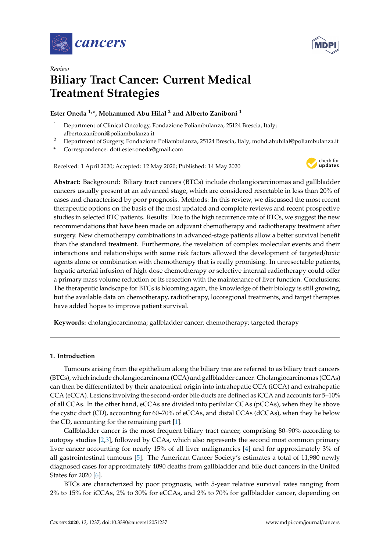



# *Review* **Biliary Tract Cancer: Current Medical Treatment Strategies**

# **Ester Oneda 1,\*, Mohammed Abu Hilal <sup>2</sup> and Alberto Zaniboni <sup>1</sup>**

- <sup>1</sup> Department of Clinical Oncology, Fondazione Poliambulanza, 25124 Brescia, Italy; alberto.zaniboni@poliambulanza.it
- <sup>2</sup> Department of Surgery, Fondazione Poliambulanza, 25124 Brescia, Italy; mohd.abuhilal@poliambulanza.it
- **\*** Correspondence: dott.ester.oneda@gmail.com

Received: 1 April 2020; Accepted: 12 May 2020; Published: 14 May 2020



**Abstract:** Background: Biliary tract cancers (BTCs) include cholangiocarcinomas and gallbladder cancers usually present at an advanced stage, which are considered resectable in less than 20% of cases and characterised by poor prognosis. Methods: In this review, we discussed the most recent therapeutic options on the basis of the most updated and complete reviews and recent prospective studies in selected BTC patients. Results: Due to the high recurrence rate of BTCs, we suggest the new recommendations that have been made on adjuvant chemotherapy and radiotherapy treatment after surgery. New chemotherapy combinations in advanced-stage patients allow a better survival benefit than the standard treatment. Furthermore, the revelation of complex molecular events and their interactions and relationships with some risk factors allowed the development of targeted/toxic agents alone or combination with chemotherapy that is really promising. In unresectable patients, hepatic arterial infusion of high-dose chemotherapy or selective internal radiotherapy could offer a primary mass volume reduction or its resection with the maintenance of liver function. Conclusions: The therapeutic landscape for BTCs is blooming again, the knowledge of their biology is still growing, but the available data on chemotherapy, radiotherapy, locoregional treatments, and target therapies have added hopes to improve patient survival.

**Keywords:** cholangiocarcinoma; gallbladder cancer; chemotherapy; targeted therapy

# **1. Introduction**

Tumours arising from the epithelium along the biliary tree are referred to as biliary tract cancers (BTCs), which include cholangiocarcinoma (CCA) and gallbladder cancer. Cholangiocarcinomas (CCAs) can then be differentiated by their anatomical origin into intrahepatic CCA (iCCA) and extrahepatic CCA (eCCA). Lesions involving the second-order bile ducts are defined as iCCA and accounts for 5–10% of all CCAs. In the other hand, eCCAs are divided into perihilar CCAs (pCCAs), when they lie above the cystic duct (CD), accounting for 60–70% of eCCAs, and distal CCAs (dCCAs), when they lie below the CD, accounting for the remaining part [\[1\]](#page-9-0).

Gallbladder cancer is the most frequent biliary tract cancer, comprising 80–90% according to autopsy studies [\[2,](#page-9-1)[3\]](#page-9-2), followed by CCAs, which also represents the second most common primary liver cancer accounting for nearly 15% of all liver malignancies [\[4\]](#page-9-3) and for approximately 3% of all gastrointestinal tumours [\[5\]](#page-9-4). The American Cancer Society's estimates a total of 11,980 newly diagnosed cases for approximately 4090 deaths from gallbladder and bile duct cancers in the United States for 2020 [\[6\]](#page-9-5).

BTCs are characterized by poor prognosis, with 5-year relative survival rates ranging from 2% to 15% for iCCAs, 2% to 30% for eCCAs, and 2% to 70% for gallbladder cancer, depending on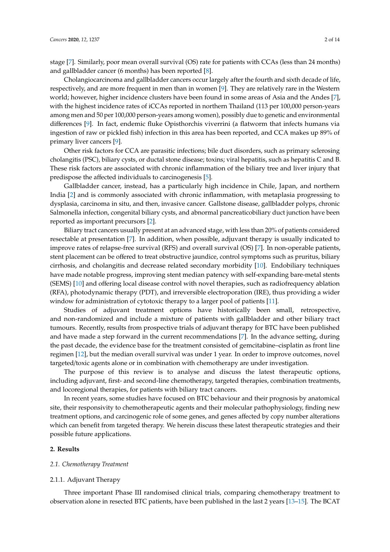stage [\[7\]](#page-9-6). Similarly, poor mean overall survival (OS) rate for patients with CCAs (less than 24 months) and gallbladder cancer (6 months) has been reported [\[8\]](#page-9-7).

Cholangiocarcinoma and gallbladder cancers occur largely after the fourth and sixth decade of life, respectively, and are more frequent in men than in women [\[9\]](#page-10-0). They are relatively rare in the Western world; however, higher incidence clusters have been found in some areas of Asia and the Andes [\[7\]](#page-9-6), with the highest incidence rates of iCCAs reported in northern Thailand (113 per 100,000 person-years among men and 50 per 100,000 person-years among women), possibly due to genetic and environmental differences [\[9\]](#page-10-0). In fact, endemic fluke Opisthorchis viverrini (a flatworm that infects humans via ingestion of raw or pickled fish) infection in this area has been reported, and CCA makes up 89% of primary liver cancers [\[9\]](#page-10-0).

Other risk factors for CCA are parasitic infections; bile duct disorders, such as primary sclerosing cholangitis (PSC), biliary cysts, or ductal stone disease; toxins; viral hepatitis, such as hepatitis C and B. These risk factors are associated with chronic inflammation of the biliary tree and liver injury that predispose the affected individuals to carcinogenesis [\[5\]](#page-9-4).

Gallbladder cancer, instead, has a particularly high incidence in Chile, Japan, and northern India [\[2\]](#page-9-1) and is commonly associated with chronic inflammation, with metaplasia progressing to dysplasia, carcinoma in situ, and then, invasive cancer. Gallstone disease, gallbladder polyps, chronic Salmonella infection, congenital biliary cysts, and abnormal pancreaticobiliary duct junction have been reported as important precursors [\[2\]](#page-9-1).

Biliary tract cancers usually present at an advanced stage, with less than 20% of patients considered resectable at presentation [\[7\]](#page-9-6). In addition, when possible, adjuvant therapy is usually indicated to improve rates of relapse-free survival (RFS) and overall survival (OS) [\[7\]](#page-9-6). In non-operable patients, stent placement can be offered to treat obstructive jaundice, control symptoms such as pruritus, biliary cirrhosis, and cholangitis and decrease related secondary morbidity [\[10\]](#page-10-1). Endobiliary techniques have made notable progress, improving stent median patency with self-expanding bare-metal stents (SEMS) [\[10\]](#page-10-1) and offering local disease control with novel therapies, such as radiofrequency ablation (RFA), photodynamic therapy (PDT), and irreversible electroporation (IRE), thus providing a wider window for administration of cytotoxic therapy to a larger pool of patients [\[11\]](#page-10-2).

Studies of adjuvant treatment options have historically been small, retrospective, and non-randomized and include a mixture of patients with gallbladder and other biliary tract tumours. Recently, results from prospective trials of adjuvant therapy for BTC have been published and have made a step forward in the current recommendations [\[7\]](#page-9-6). In the advance setting, during the past decade, the evidence base for the treatment consisted of gemcitabine–cisplatin as front line regimen [\[12\]](#page-10-3), but the median overall survival was under 1 year. In order to improve outcomes, novel targeted/toxic agents alone or in combination with chemotherapy are under investigation.

The purpose of this review is to analyse and discuss the latest therapeutic options, including adjuvant, first- and second-line chemotherapy, targeted therapies, combination treatments, and locoregional therapies, for patients with biliary tract cancers.

In recent years, some studies have focused on BTC behaviour and their prognosis by anatomical site, their responsivity to chemotherapeutic agents and their molecular pathophysiology, finding new treatment options, and carcinogenic role of some genes, and genes affected by copy number alterations which can benefit from targeted therapy. We herein discuss these latest therapeutic strategies and their possible future applications.

## **2. Results**

#### *2.1. Chemotherapy Treatment*

#### 2.1.1. Adjuvant Therapy

Three important Phase III randomised clinical trials, comparing chemotherapy treatment to observation alone in resected BTC patients, have been published in the last 2 years [\[13](#page-10-4)[–15\]](#page-10-5). The BCAT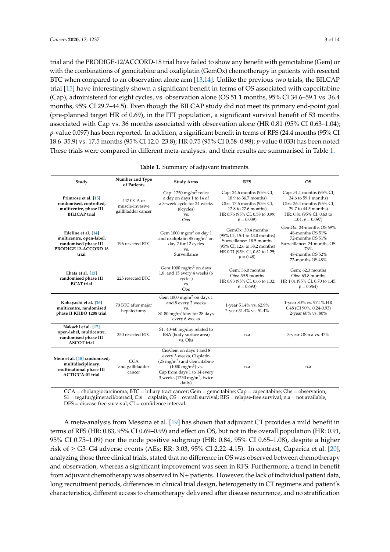trial and the PRODIGE-12/ACCORD-18 trial have failed to show any benefit with gemcitabine (Gem) or with the combinations of gemcitabine and oxaliplatin (GemOx) chemotherapy in patients with resected BTC when compared to an observation alone arm [\[13](#page-10-4)[,14\]](#page-10-6). Unlike the previous two trials, the BILCAP trial [\[15\]](#page-10-5) have interestingly shown a significant benefit in terms of OS associated with capecitabine (Cap), administered for eight cycles, vs. observation alone (OS 51.1 months, 95% CI 34.6–59.1 vs. 36.4 months, 95% CI 29.7–44.5). Even though the BILCAP study did not meet its primary end-point goal (pre-planned target HR of 0.69), in the ITT population, a significant survival benefit of 53 months associated with Cap vs. 36 months associated with observation alone (HR 0.81 (95% CI 0.63–1.04); *p*-value 0.097) has been reported. In addition, a significant benefit in terms of RFS (24.4 months (95% CI 18.6–35.9) vs. 17.5 months (95% CI 12.0–23.8); HR 0.75 (95% CI 0.58–0.98); *p*-value 0.033) has been noted. These trials were compared in different meta-analyses. and their results are summarised in Table [1.](#page-2-0)

<span id="page-2-0"></span>

| Study                                                                                                     | Number and Type<br>of Patients                      | <b>Study Arms</b>                                                                                                                                                                                               | <b>RFS</b>                                                                                                                                                        | <b>OS</b>                                                                                                                                                |
|-----------------------------------------------------------------------------------------------------------|-----------------------------------------------------|-----------------------------------------------------------------------------------------------------------------------------------------------------------------------------------------------------------------|-------------------------------------------------------------------------------------------------------------------------------------------------------------------|----------------------------------------------------------------------------------------------------------------------------------------------------------|
| Primrose et al. [15]<br>randomised, controlled,<br>multicentre, phase III<br><b>BILICAP</b> trial         | 447 CCA or<br>muscle-invasive<br>gallbladder cancer | Cap: 1250 mg/m <sup>2</sup> twice<br>a day on days 1 to 14 of<br>a 3-week cycle for 24 weeks<br>(8cycles)<br>VS.<br>Obs                                                                                         | Cap: 24.6 months (95% CI,<br>18.9 to 36.7 months)<br>Obs: 17.6 months (95% CI,<br>12.8 to 27.6 months)<br>HR 0.76 (95% CI, 0.58 to 0.99;<br>$p = 0.039$           | Cap: 51.1 months (95% CI,<br>34.6 to 59.1 months)<br>Obs: 36.4 months (95% CI,<br>29.7 to 44.5 months)<br>HR: 0.81 (95% CI, 0.63 to<br>$1.04; p = 0.097$ |
| Edeline et al. [14]<br>multicentre, open-label,<br>randomised phase III<br>PRODIGE 12-ACCORD 18<br>trial  | 196 resected BTC                                    | Gem 1000 mg/m <sup>2</sup> on day 1<br>and oxaliplatin 85 mg/m <sup>2</sup> on<br>day 2 for 12 cycles<br>VS.<br>Surveillance                                                                                    | GemOx: 30.4 months<br>(95% CI, 15.4 to 43.0 months)<br>Surveillance: 18.5 months<br>(95% CI, 12.6 to 38.2 months)<br>HR 0.71 (95% CI, 0.62 to 1.25;<br>$p = 0.48$ | GemOx: 24-months OS 69%<br>48-months OS 51%<br>72-months OS 51%<br>Surveillance: 24-months OS<br>76%<br>48-months OS 52%<br>72-months OS 48%             |
| Ebata et al. [13]<br>randomised phase III<br><b>BCAT</b> trial                                            | 225 resected BTC                                    | Gem 1000 mg/m <sup>2</sup> on days<br>1,8, and 15 every 4 weeks (6<br>cycles)<br>VS.<br>Obs                                                                                                                     | Gem: 36.0 months<br>Obs: 39.9 months<br>HR 0.93 (95% CI, 0.66 to 1.32;<br>$p = 0.693$                                                                             | Gem: 62.3 months<br>Obs: 63.8 months<br>HR 1.01 (95% CI, 0.70 to 1.45;<br>$p = 0.964$                                                                    |
| Kobayashi et al. [16]<br>multicentre, randomised<br>phase II KHBO 1208 trial                              | 70 BTC after major<br>hepatectomy                   | Gem 1000 mg/m <sup>2</sup> on days 1<br>and 8 every 2 weeks<br>VS.<br>S1 80 mg/m <sup>2</sup> /day for 28 days<br>every 6 weeks                                                                                 | 1-year 51.4% vs. 62.9%<br>2-year 31.4% vs. 51.4%                                                                                                                  | 1-year 80% vs. 97.1% HR<br>0.48 (CI 90%, 0.24-0.93)<br>2-year 60% vs. 80%                                                                                |
| Nakachi et al. [17]<br>open-label, multicentre,<br>randomised phase III<br><b>ASCOT</b> trial             | 350 resected BTC                                    | S1: 40-60 mg/day related to<br>BSA (body surface area)<br>vs. Obs                                                                                                                                               | n.a                                                                                                                                                               | 3-year OS n.a vs. 47%                                                                                                                                    |
| Stein et al. [18] randomised,<br>multidisciplinary,<br>multinational phase III<br><b>ACTICCA-01 trial</b> | <b>CCA</b><br>and gallbladder<br>cancer             | Cis/Gem on days 1 and 8<br>every 3 weeks, Cisplatin<br>$(25 \text{ mg/m}^2)$ and Gemcitabine<br>$(1000 \text{ mg/m}^2)$ vs.<br>Cap from days 1 to 14 every<br>3 weeks $(1250 \text{ mg/m}^2)$ , twice<br>daily) | n.a                                                                                                                                                               | n.a                                                                                                                                                      |

|  |  |  |  |  |  |  | <b>Table 1.</b> Summary of adjuvant treatments. |
|--|--|--|--|--|--|--|-------------------------------------------------|
|--|--|--|--|--|--|--|-------------------------------------------------|

CCA = cholangiocarcinoma; BTC = biliary tract cancer; Gem = gemcitabine; Cap = capecitabine; Obs = observation; S1 = tegafur/gimeracil/oteracil; Cis = cisplatin; OS = overall survival; RFS = relapse-free survival; n.a = not available; DFS = disease free survival; CI = confidence interval.

A meta-analysis from Messina et al. [\[19\]](#page-10-10) has shown that adjuvant CT provides a mild benefit in terms of RFS (HR: 0.83, 95% CI 0.69–0.99) and effect on OS, but not in the overall population (HR: 0.91, 95% CI 0.75–1.09) nor the node positive subgroup (HR: 0.84, 95% CI 0.65–1.08), despite a higher risk of  $\geq$  G3–G4 adverse events (AEs; RR: 3.03, 95% CI 2.22–4.15). In contrast, Caparica et al. [\[20\]](#page-10-11), analyzing those three clinical trials, stated that no difference in OS was observed between chemotherapy and observation, whereas a significant improvement was seen in RFS. Furthermore, a trend in benefit from adjuvant chemotherapy was observed in N+ patients. However, the lack of individual patient data, long recruitment periods, differences in clinical trial design, heterogeneity in CT regimens and patient's characteristics, different access to chemotherapy delivered after disease recurrence, and no stratification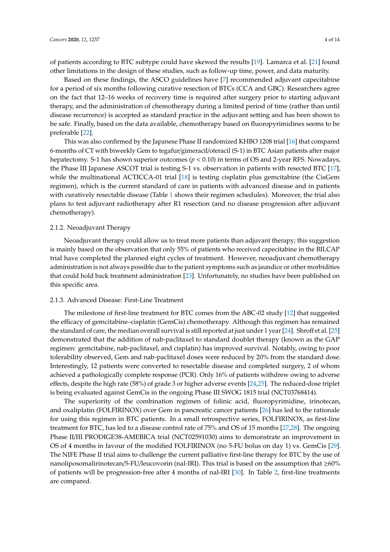of patients according to BTC subtype could have skewed the results [\[19\]](#page-10-10). Lamarca et al. [\[21\]](#page-10-12) found other limitations in the design of these studies, such as follow-up time, power, and data maturity.

Based on these findings, the ASCO guidelines have [\[7\]](#page-9-6) recommended adjuvant capecitabine for a period of six months following curative resection of BTCs (CCA and GBC). Researchers agree on the fact that 12–16 weeks of recovery time is required after surgery prior to starting adjuvant therapy, and the administration of chemotherapy during a limited period of time (rather than until disease recurrence) is accepted as standard practice in the adjuvant setting and has been shown to be safe. Finally, based on the data available, chemotherapy based on fluoropyrimidines seems to be preferable [\[22\]](#page-10-13).

This was also confirmed by the Japanese Phase II randomized KHBO 1208 trial [\[16\]](#page-10-7) that compared 6-months of CT with biweekly Gem to tegafur/gimeracil/oteracil (S-1) in BTC Asian patients after major hepatectomy. S-1 has shown superior outcomes (*p* < 0.10) in terms of OS and 2-year RFS. Nowadays, the Phase III Japanese ASCOT trial is testing S-1 vs. observation in patients with resected BTC [\[17\]](#page-10-8), while the multinational ACTICCA-01 trial [\[18\]](#page-10-9) is testing cisplatin plus gemcitabine (the CisGem regimen), which is the current standard of care in patients with advanced disease and in patients with curatively resectable disease (Table [1](#page-2-0) shows their regimen schedules). Moreover, the trial also plans to test adjuvant radiotherapy after R1 resection (and no disease progression after adjuvant chemotherapy).

## 2.1.2. Neoadjuvant Therapy

Neoadjuvant therapy could allow us to treat more patients than adjuvant therapy; this suggestion is mainly based on the observation that only 55% of patients who received capecitabine in the BILCAP trial have completed the planned eight cycles of treatment. However, neoadjuvant chemotherapy administration is not always possible due to the patient symptoms such as jaundice or other morbidities that could hold back treatment administration [\[23\]](#page-10-14). Unfortunately, no studies have been published on this specific area.

## 2.1.3. Advanced Disease: First-Line Treatment

The milestone of first-line treatment for BTC comes from the ABC-02 study [\[12\]](#page-10-3) that suggested the efficacy of gemcitabine–cisplatin (GemCis) chemotherapy. Although this regimen has remained the standard of care, the median overall survival is still reported at just under 1 year [\[24\]](#page-10-15). Shroff et al. [\[25\]](#page-11-0) demonstrated that the addition of nab-paclitaxel to standard doublet therapy (known as the GAP regimen: gemcitabine, nab-paclitaxel, and cisplatin) has improved survival. Notably, owing to poor tolerability observed, Gem and nab-paclitaxel doses were reduced by 20% from the standard dose. Interestingly, 12 patients were converted to resectable disease and completed surgery, 2 of whom achieved a pathologically complete response (PCR). Only 16% of patients withdrew owing to adverse effects, despite the high rate (58%) of grade 3 or higher adverse events [\[24](#page-10-15)[,25\]](#page-11-0). The reduced-dose triplet is being evaluated against GemCis in the ongoing Phase III SWOG 1815 trial (NCT03768414).

The superiority of the combination regimen of folinic acid, fluoropyrimidine, irinotecan, and oxaliplatin (FOLFIRINOX) over Gem in pancreatic cancer patients [\[26\]](#page-11-1) has led to the rationale for using this regimen in BTC patients. In a small retrospective series, FOLFIRINOX, as first-line treatment for BTC, has led to a disease control rate of 75% and OS of 15 months [\[27,](#page-11-2)[28\]](#page-11-3). The ongoing Phase II/III PRODIGE38-AMEBICA trial (NCT02591030) aims to demonstrate an improvement in OS of 4 months in favour of the modified FOLFIRINOX (no 5-FU bolus on day 1) vs. GemCis [\[29\]](#page-11-4). The NIFE Phase II trial aims to challenge the current palliative first-line therapy for BTC by the use of nanoliposomalirinotecan/5-FU/leucovorin (nal-IRI). This trial is based on the assumption that ≥60% of patients will be progression-free after 4 months of nal-IRI [\[30\]](#page-11-5). In Table [2,](#page-4-0) first-line treatments are compared.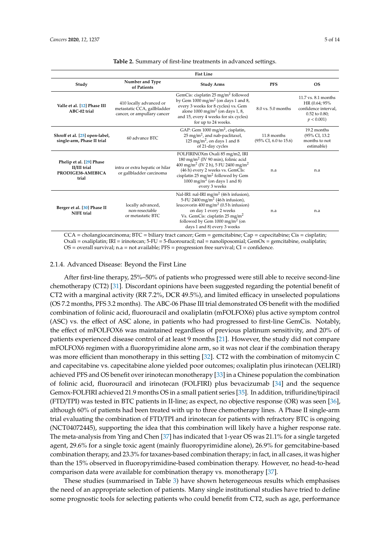<span id="page-4-0"></span>

| <b>Fist Line</b>                                                                                                                      |                                                                                       |                                                                                                                                                                                                                                                                                                                |                                       |                                                                                                     |
|---------------------------------------------------------------------------------------------------------------------------------------|---------------------------------------------------------------------------------------|----------------------------------------------------------------------------------------------------------------------------------------------------------------------------------------------------------------------------------------------------------------------------------------------------------------|---------------------------------------|-----------------------------------------------------------------------------------------------------|
| Study                                                                                                                                 | Number and Type<br>of Patients                                                        | <b>Study Arms</b>                                                                                                                                                                                                                                                                                              | <b>PFS</b>                            | <b>OS</b>                                                                                           |
| Valle et al. [12] Phase III<br>ABC-02 trial                                                                                           | 410 locally advanced or<br>metastatic CCA, gallbladder<br>cancer, or ampullary cancer | GemCis: cisplatin $25 \text{ mg/m}^2$ followed<br>by Gem $1000 \text{ mg/m}^2$ (on days 1 and 8,<br>every 3 weeks for 8 cycles) vs. Gem<br>alone 1000 mg/m <sup>2</sup> (on days 1, 8,<br>and 15, every 4 weeks for six cycles)<br>for up to 24 weeks.                                                         | $8.0 \text{ vs. } 5.0 \text{ months}$ | $11.7$ vs. $8.1$ months<br>HR (0.64; 95%<br>confidence interval,<br>$0.52$ to $0.80$ ;<br>p < 0.001 |
| Shroff et al. [25] open-label,<br>single-arm, Phase II trial                                                                          | 60 advance BTC.                                                                       | GAP: Gem $1000 \text{ mg/m}^2$ , cisplatin,<br>$25 \text{ mg/m}^2$ , and nab-paclitaxel,<br>125 mg/m <sup>2</sup> , on days 1 and 8<br>of 21-day cycles                                                                                                                                                        | 11.8 months<br>(95% CI, 6.0 to 15.6)  | 19.2 months<br>(95% CI, 13.2)<br>months to not<br>estimable)                                        |
| Phelip et al. [29] Phase<br>II/III trial<br>intra or extra hepatic or hilar<br>PRODIGE38-AMEBICA<br>or gallbladder carcinoma<br>trial |                                                                                       | FOLFIRINOXm Oxali 85 mg/m2, IRI<br>$180 \text{ mg/m}^2$ (IV 90 min), folinic acid<br>400 mg/m <sup>2</sup> (IV 2 h), 5 FU 2400 mg/m <sup>2</sup><br>(46 h) every 2 weeks vs. GemCIs:<br>cisplatin 25 mg/m <sup>2</sup> followed by Gem<br>1000 mg/m <sup>2</sup> (on days 1 and 8)<br>every 3 weeks            | n.a                                   | n.a                                                                                                 |
| Berger et al. [30] Phase II<br>NIFE trial                                                                                             | locally advanced,<br>non-resectable<br>or metastatic BTC.                             | Nal-IRI: nal-IRI mg/m <sup>2</sup> (46 h infusion),<br>5-FU 2400 mg/m <sup>2</sup> (46 h infusion),<br>leucovorin $400 \,\mathrm{mg/m^2}$ (0.5 h infusion)<br>on day 1 every 2 weeks<br>Vs. GemCis: cisplatin 25 mg/m <sup>2</sup><br>followed by Gem $1000 \text{ mg/m}^2$ (on<br>days 1 and 8) every 3 weeks | n.a                                   | n.a                                                                                                 |

| Table 2. Summary of first-line treatments in advanced settings. |  |
|-----------------------------------------------------------------|--|
|-----------------------------------------------------------------|--|

CCA = cholangiocarcinoma; BTC = biliary tract cancer; Gem = gemcitabine; Cap = capecitabine; Cis = cisplatin; Oxali = oxaliplatin; IRI = irinotecan; 5-FU = 5-fluorouracil; nal = nanoliposomial; GemOx = gemcitabine, oxaliplatin; OS = overall survival; n.a = not available; PFS = progression free survival; CI = confidence.

#### 2.1.4. Advanced Disease: Beyond the First Line

After first-line therapy, 25%–50% of patients who progressed were still able to receive second-line chemotherapy (CT2) [\[31\]](#page-11-6). Discordant opinions have been suggested regarding the potential benefit of CT2 with a marginal activity (RR 7.2%, DCR 49.5%), and limited efficacy in unselected populations (OS 7.2 months, PFS 3.2 months). The ABC-06 Phase III trial demonstrated OS benefit with the modified combination of folinic acid, fluorouracil and oxaliplatin (mFOLFOX6) plus active symptom control (ASC) vs. the effect of ASC alone, in patients who had progressed to first-line GemCis. Notably, the effect of mFOLFOX6 was maintained regardless of previous platinum sensitivity, and 20% of patients experienced disease control of at least 9 months [\[21\]](#page-10-12). However, the study did not compare mFOLFOX6 regimen with a fluoropyrimidine alone arm, so it was not clear if the combination therapy was more efficient than monotherapy in this setting [\[32\]](#page-11-7). CT2 with the combination of mitomycin C and capecitabine vs. capecitabine alone yielded poor outcomes; oxaliplatin plus irinotecan (XELIRI) achieved PFS and OS benefit over irinotecan monotherapy [\[33\]](#page-11-8) in a Chinese population the combination of folinic acid, fluorouracil and irinotecan (FOLFIRI) plus bevacizumab [\[34\]](#page-11-9) and the sequence Gemox-FOLFIRI achieved 21.9 months OS in a small patient series [\[35\]](#page-11-10). In addition, trifluridine/tipiracil (FTD/TPI) was tested in BTC patients in II-line; as expect, no objective response (OR) was seen [\[36\]](#page-11-11), although 60% of patients had been treated with up to three chemotherapy lines. A Phase II single-arm trial evaluating the combination of FTD/TPI and irinotecan for patients with refractory BTC is ongoing (NCT04072445), supporting the idea that this combination will likely have a higher response rate. The meta-analysis from Ying and Chen [\[37\]](#page-11-12) has indicated that 1-year OS was 21.1% for a single targeted agent, 29.6% for a single toxic agent (mainly fluoropyrimidine alone), 26.9% for gemcitabine-based combination therapy, and 23.3% for taxanes-based combination therapy; in fact, in all cases, it was higher than the 15% observed in fluoropyrimidine-based combination therapy. However, no head-to-head comparison data were available for combination therapy vs. monotherapy [\[37\]](#page-11-12).

These studies (summarised in Table [3\)](#page-5-0) have shown heterogeneous results which emphasises the need of an appropriate selection of patients. Many single institutional studies have tried to define some prognostic tools for selecting patients who could benefit from CT2, such as age, performance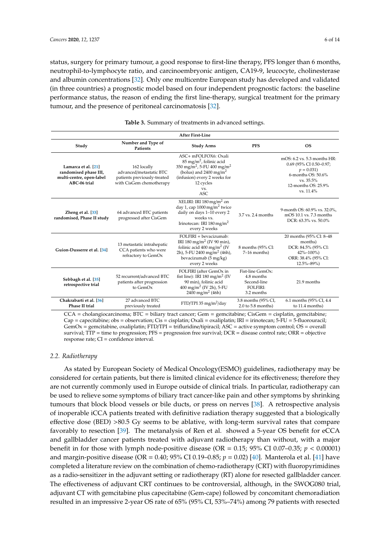status, surgery for primary tumour, a good response to first-line therapy, PFS longer than 6 months, neutrophil-to-lymphocyte ratio, and carcinoembryonic antigen, CA19-9, leucocyte, cholinesterase and albumin concentrations [\[32\]](#page-11-7). Only one multicentre European study has developed and validated (in three countries) a prognostic model based on four independent prognostic factors: the baseline performance status, the reason of ending the first line-therapy, surgical treatment for the primary tumour, and the presence of peritoneal carcinomatosis [\[32\]](#page-11-7).

<span id="page-5-0"></span>

| After First-Line                                                                         |                                                                                                   |                                                                                                                                                                                                                         |                                                                                |                                                                                                                                                  |  |
|------------------------------------------------------------------------------------------|---------------------------------------------------------------------------------------------------|-------------------------------------------------------------------------------------------------------------------------------------------------------------------------------------------------------------------------|--------------------------------------------------------------------------------|--------------------------------------------------------------------------------------------------------------------------------------------------|--|
| Study                                                                                    | Number and Type of<br>Patients                                                                    | <b>Study Arms</b>                                                                                                                                                                                                       | <b>PFS</b>                                                                     | <b>OS</b>                                                                                                                                        |  |
| Lamarca et al. [21]<br>randomised phase III,<br>multi-centre, open-label<br>ABC-06 trial | 162 locally<br>advanced/metastatic BTC<br>patients previously-treated<br>with CisGem chemotherapy | ASC+ mFOLFOX6: Oxali<br>$85 \text{ mg/m}^2$ , folinic acid<br>350 mg/m <sup>2</sup> , 5-FU 400 mg/m <sup>2</sup><br>(bolus) and $2400 \text{ mg/m}^2$<br>(infusion) every 2 weeks for<br>12 cycles<br>VS.<br><b>ASC</b> |                                                                                | mOS: $6.2$ vs. $5.3$ months HR:<br>0.69 (95% CI 0.50-0.97;<br>$p = 0.031$<br>6-months OS: 50.6%<br>vs. 35.5%<br>12-months OS: 25.9%<br>vs. 11.4% |  |
| Zheng et al. [33]<br>randomised, Phase II study                                          | 64 advanced BTC patients<br>progressed after CisGem                                               | XELIRI: IRI 180 mg/m <sup>2</sup> on<br>day 1, cap $1000 \,\mathrm{mg/m^2}$ twice<br>daily on days 1-10 every 2<br>weeks vs.<br>Irinotecan: IRI $180 \,\mathrm{mg/m^2}$<br>every 2 weeks                                | 3.7 vs. 2.4 months                                                             | 9-month OS: 60.9% vs. 32.0%.<br>$mOS$ 10.1 vs. $7.3$ months<br>DCR: 63.3% vs. 50.0%                                                              |  |
| Guion-Dusserre et al. [34]                                                               | 13 metastatic intrahepatic<br>CCA patients who were<br>refractory to GemOx                        | FOLFIRI + bevacizumab:<br>IRI 180 mg/m <sup>2</sup> (IV 90 min),<br>folinic acid 400 mg/m <sup>2</sup> (IV<br>2h), 5-FU 2400 mg/m <sup>2</sup> (46h),<br>bevacizumab (5 mg/kg)<br>every 2 weeks                         | 8 months (95% CI:<br>$7-16$ months)                                            | 20 months (95% CI: 8-48)<br>months)<br>DCR: 84.5% (95% CI:<br>$42\% - 100\%$<br>ORR: 38.4% (95% CI:<br>$12.5\% - 89\%$                           |  |
| Sebbagh et al. [35]<br>retrospective trial                                               | 52 recurrent/advanced BTC<br>patients after progression<br>to GemOx                               | FOLFIRI (after GemOx in<br>fist line): IRI 180 mg/m <sup>2</sup> (IV<br>90 min), folinic acid<br>400 mg/m <sup>2</sup> (IV 2h), 5-FU<br>2400 mg/m <sup>2</sup> (46h)                                                    | Fist-line GemOx:<br>4.8 months<br>Second-line<br><b>FOLFIRI:</b><br>3.2 months | 21.9 months                                                                                                                                      |  |
| Chakrabarti et al. [36]<br>Phase II trial                                                | 27 advanced BTC<br>previously treated                                                             | FTD/TPI 35 mg/m <sup>2</sup> /day                                                                                                                                                                                       | 3.8 months (95% CI,<br>$2.0$ to $5.8$ months)                                  | 6.1 months (95% CI, 4.4)<br>to 11.4 months)                                                                                                      |  |

#### **Table 3.** Summary of treatments in advanced settings.

CCA = cholangiocarcinoma; BTC = biliary tract cancer; Gem = gemcitabine; CisGem = cisplatin, gemcitabine; Cap = capecitabine; obs = observation; Cis = cisplatin; Oxali = oxaliplatin; IRI = irinotecan; 5-FU = 5-fluorouracil; GemOx = gemcitabine, oxaliplatin; FTD/TPI = trifluridine/tipiracil; ASC = active symptom control; OS = overall survival; TTP = time to progression; PFS = progression free survival; DCR = disease control rate; ORR = objective response rate; CI = confidence interval.

#### *2.2. Radiotherapy*

As stated by European Society of Medical Oncology(ESMO) guidelines, radiotherapy may be considered for certain patients, but there is limited clinical evidence for its effectiveness; therefore they are not currently commonly used in Europe outside of clinical trials. In particular, radiotherapy can be used to relieve some symptoms of biliary tract cancer-like pain and other symptoms by shrinking tumours that block blood vessels or bile ducts, or press on nerves [\[38\]](#page-11-13). A retrospective analysis of inoperable iCCA patients treated with definitive radiation therapy suggested that a biologically effective dose (BED) >80.5 Gy seems to be ablative, with long-term survival rates that compare favorably to resection [\[39\]](#page-11-14). The metanalysis of Ren et al. showed a 5-year OS benefit for eCCA and gallbladder cancer patients treated with adjuvant radiotherapy than without, with a major benefit in for those with lymph node-positive disease (OR =  $0.15$ ;  $95\%$  CI 0.07–0.35;  $p < 0.00001$ ) and margin-positive disease (OR = 0.40; 95% CI 0.19–0.85; *p* = 0.02) [\[40\]](#page-11-15). Manterola et al. [\[41\]](#page-12-0) have completed a literature review on the combination of chemo-radiotherapy (CRT) with fluoropyrimidines as a radio-sensitizer in the adjuvant setting or radiotherapy (RT) alone for resected gallbladder cancer. The effectiveness of adjuvant CRT continues to be controversial, although, in the SWOG080 trial, adjuvant CT with gemcitabine plus capecitabine (Gem-cape) followed by concomitant chemoradiation resulted in an impressive 2-year OS rate of 65% (95% CI, 53%–74%) among 79 patients with resected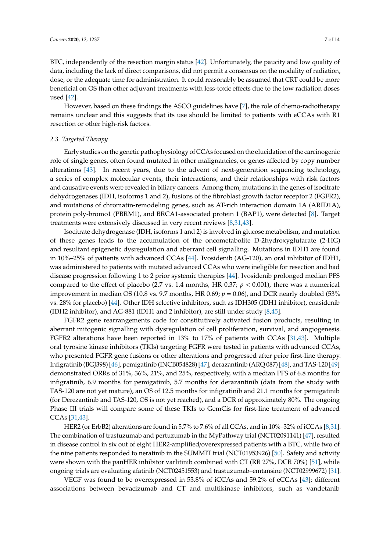BTC, independently of the resection margin status [\[42\]](#page-12-1). Unfortunately, the paucity and low quality of data, including the lack of direct comparisons, did not permit a consensus on the modality of radiation, dose, or the adequate time for administration. It could reasonably be assumed that CRT could be more beneficial on OS than other adjuvant treatments with less-toxic effects due to the low radiation doses used [\[42\]](#page-12-1).

However, based on these findings the ASCO guidelines have [\[7\]](#page-9-6), the role of chemo-radiotherapy remains unclear and this suggests that its use should be limited to patients with eCCAs with R1 resection or other high-risk factors.

## *2.3. Targeted Therapy*

Early studies on the genetic pathophysiology of CCAs focused on the elucidation of the carcinogenic role of single genes, often found mutated in other malignancies, or genes affected by copy number alterations [\[43\]](#page-12-2). In recent years, due to the advent of next-generation sequencing technology, a series of complex molecular events, their interactions, and their relationships with risk factors and causative events were revealed in biliary cancers. Among them, mutations in the genes of isocitrate dehydrogenases (IDH, isoforms 1 and 2), fusions of the fibroblast growth factor receptor 2 (FGFR2), and mutations of chromatin-remodeling genes, such as AT-rich interaction domain 1A (ARID1A), protein poly-bromo1 (PBRM1), and BRCA1-associated protein 1 (BAP1), were detected [\[8\]](#page-9-7). Target treatments were extensively discussed in very recent reviews [\[8,](#page-9-7)[31,](#page-11-6)[43\]](#page-12-2).

Isocitrate dehydrogenase (IDH, isoforms 1 and 2) is involved in glucose metabolism, and mutation of these genes leads to the accumulation of the oncometabolite D-2hydroxyglutarate (2-HG) and resultant epigenetic dysregulation and aberrant cell signalling. Mutations in IDH1 are found in 10%–25% of patients with advanced CCAs [\[44\]](#page-12-3). Ivosidenib (AG-120), an oral inhibitor of IDH1, was administered to patients with mutated advanced CCAs who were ineligible for resection and had disease progression following 1 to 2 prior systemic therapies [\[44\]](#page-12-3). Ivosidenib prolonged median PFS compared to the effect of placebo (2.7 vs. 1.4 months, HR 0.37;  $p < 0.001$ ), there was a numerical improvement in median OS (10.8 vs. 9.7 months, HR 0.69; *p* = 0.06), and DCR nearly doubled (53% vs. 28% for placebo) [\[44\]](#page-12-3). Other IDH selective inhibitors, such as IDH305 (IDH1 inhibitor), enasidenib (IDH2 inhibitor), and AG-881 (IDH1 and 2 inhibitor), are still under study [\[8](#page-9-7)[,45\]](#page-12-4).

FGFR2 gene rearrangements code for constitutively activated fusion products, resulting in aberrant mitogenic signalling with dysregulation of cell proliferation, survival, and angiogenesis. FGFR2 alterations have been reported in 13% to 17% of patients with CCAs [\[31,](#page-11-6)[43\]](#page-12-2). Multiple oral tyrosine kinase inhibitors (TKIs) targeting FGFR were tested in patients with advanced CCAs, who presented FGFR gene fusions or other alterations and progressed after prior first-line therapy. Infigratinib (BGJ398) [\[46\]](#page-12-5), pemigatinib (INCB054828) [\[47\]](#page-12-6), derazantinib (ARQ 087) [\[48\]](#page-12-7), and TAS-120 [\[49\]](#page-12-8) demonstrated ORRs of 31%, 36%, 21%, and 25%, respectively, with a median PFS of 6.8 months for infigratinib, 6.9 months for pemigatinib, 5.7 months for derazantinib (data from the study with TAS-120 are not yet mature), an OS of 12.5 months for infigratinib and 21.1 months for pemigatinib (for Derezantinib and TAS-120, OS is not yet reached), and a DCR of approximately 80%. The ongoing Phase III trials will compare some of these TKIs to GemCis for first-line treatment of advanced CCAs [\[31](#page-11-6)[,43\]](#page-12-2).

HER2 (or ErbB2) alterations are found in 5.7% to 7.6% of all CCAs, and in 10%–32% of iCCAs [\[8](#page-9-7)[,31\]](#page-11-6). The combination of trastuzumab and pertuzumab in the MyPathway trial (NCT02091141) [\[47\]](#page-12-6), resulted in disease control in six out of eight HER2-amplified/overexpressed patients with a BTC, while two of the nine patients responded to neratinib in the SUMMIT trial (NCT01953926) [\[50\]](#page-12-9). Safety and activity were shown with the panHER inhibitor varlitinib combined with CT (RR 27%, DCR 70%) [\[51\]](#page-12-10), while ongoing trials are evaluating afatinib (NCT02451553) and trastuzumab–emtansine (NCT02999672) [\[31\]](#page-11-6).

VEGF was found to be overexpressed in 53.8% of iCCAs and 59.2% of eCCAs [\[43\]](#page-12-2); different associations between bevacizumab and CT and multikinase inhibitors, such as vandetanib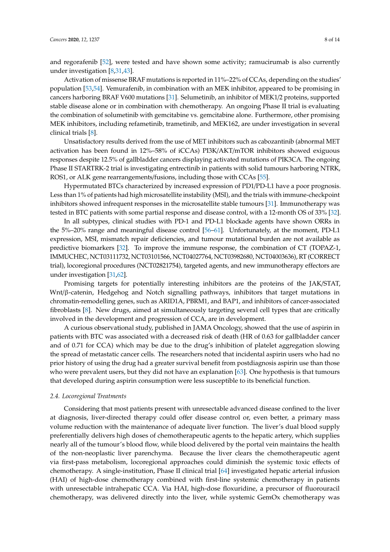and regorafenib [\[52\]](#page-12-11), were tested and have shown some activity; ramucirumab is also currently under investigation [\[8](#page-9-7)[,31,](#page-11-6)[43\]](#page-12-2).

Activation of missense BRAF mutations is reported in 11%–22% of CCAs, depending on the studies' population [\[53](#page-12-12)[,54\]](#page-12-13). Vemurafenib, in combination with an MEK inhibitor, appeared to be promising in cancers harboring BRAF V600 mutations [\[31\]](#page-11-6). Selumetinib, an inhibitor of MEK1/2 proteins, supported stable disease alone or in combination with chemotherapy. An ongoing Phase II trial is evaluating the combination of solumetinib with gemcitabine vs. gemcitabine alone. Furthermore, other promising MEK inhibitors, including refametinib, trametinib, and MEK162, are under investigation in several clinical trials [\[8\]](#page-9-7).

Unsatisfactory results derived from the use of MET inhibitors such as cabozantinib (abnormal MET activation has been found in 12%–58% of iCCAs) PI3K/AKT/mTOR inhibitors showed exiguous responses despite 12.5% of gallbladder cancers displaying activated mutations of PIK3CA. The ongoing Phase II STARTRK-2 trial is investigating entrectinib in patients with solid tumours harboring NTRK, ROS1, or ALK gene rearrangements/fusions, including those with CCAs [\[55\]](#page-12-14).

Hypermutated BTCs characterized by increased expression of PD1/PD-L1 have a poor prognosis. Less than 1% of patients had high microsatellite instability (MSI), and the trials with immune-checkpoint inhibitors showed infrequent responses in the microsatellite stable tumours [\[31\]](#page-11-6). Immunotherapy was tested in BTC patients with some partial response and disease control, with a 12-month OS of 33% [\[32\]](#page-11-7).

In all subtypes, clinical studies with PD-1 and PD-L1 blockade agents have shown ORRs in the 5%–20% range and meaningful disease control [\[56](#page-13-0)[–61\]](#page-13-1). Unfortunately, at the moment, PD-L1 expression, MSI, mismatch repair deficiencies, and tumour mutational burden are not available as predictive biomarkers [\[32\]](#page-11-7). To improve the immune response, the combination of CT (TOPAZ-1, IMMUCHEC, NCT03111732, NCT03101566, NCT04027764, NCT03982680, NCT04003636), RT (CORRECT trial), locoregional procedures (NCT02821754), targeted agents, and new immunotherapy effectors are under investigation [\[31,](#page-11-6)[62\]](#page-13-2).

Promising targets for potentially interesting inhibitors are the proteins of the JAK/STAT, Wnt/β-catenin, Hedgehog and Notch signalling pathways, inhibitors that target mutations in chromatin-remodelling genes, such as ARID1A, PBRM1, and BAP1, and inhibitors of cancer-associated fibroblasts [\[8\]](#page-9-7). New drugs, aimed at simultaneously targeting several cell types that are critically involved in the development and progression of CCA, are in development.

A curious observational study, published in JAMA Oncology, showed that the use of aspirin in patients with BTC was associated with a decreased risk of death (HR of 0.63 for gallbladder cancer and of 0.71 for CCA) which may be due to the drug's inhibition of platelet aggregation slowing the spread of metastatic cancer cells. The researchers noted that incidental aspirin users who had no prior history of using the drug had a greater survival benefit from postdiagnosis aspirin use than those who were prevalent users, but they did not have an explanation [\[63\]](#page-13-3). One hypothesis is that tumours that developed during aspirin consumption were less susceptible to its beneficial function.

#### *2.4. Locoregional Treatments*

Considering that most patients present with unresectable advanced disease confined to the liver at diagnosis, liver-directed therapy could offer disease control or, even better, a primary mass volume reduction with the maintenance of adequate liver function. The liver's dual blood supply preferentially delivers high doses of chemotherapeutic agents to the hepatic artery, which supplies nearly all of the tumour's blood flow, while blood delivered by the portal vein maintains the health of the non-neoplastic liver parenchyma. Because the liver clears the chemotherapeutic agent via first-pass metabolism, locoregional approaches could diminish the systemic toxic effects of chemotherapy. A single-institution, Phase II clinical trial [\[64\]](#page-13-4) investigated hepatic arterial infusion (HAI) of high-dose chemotherapy combined with first-line systemic chemotherapy in patients with unresectable intrahepatic CCA. Via HAI, high-dose floxuridine, a precursor of fluorouracil chemotherapy, was delivered directly into the liver, while systemic GemOx chemotherapy was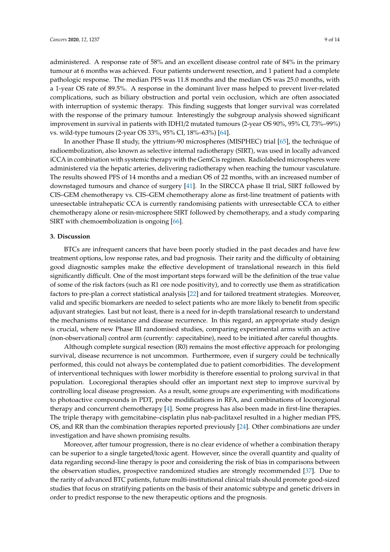administered. A response rate of 58% and an excellent disease control rate of 84% in the primary tumour at 6 months was achieved. Four patients underwent resection, and 1 patient had a complete pathologic response. The median PFS was 11.8 months and the median OS was 25.0 months, with a 1-year OS rate of 89.5%. A response in the dominant liver mass helped to prevent liver-related complications, such as biliary obstruction and portal vein occlusion, which are often associated with interruption of systemic therapy. This finding suggests that longer survival was correlated with the response of the primary tumour. Interestingly the subgroup analysis showed significant improvement in survival in patients with IDH1/2 mutated tumours (2-year OS 90%, 95% CI, 73%–99%) vs. wild-type tumours (2-year OS 33%, 95% CI, 18%–63%) [\[64\]](#page-13-4).

In another Phase II study, the yttrium-90 microspheres (MISPHEC) trial [\[65\]](#page-13-5), the technique of radioembolization, also known as selective internal radiotherapy (SIRT), was used in locally advanced iCCA in combination with systemic therapy with the GemCis regimen. Radiolabeled microspheres were administered via the hepatic arteries, delivering radiotherapy when reaching the tumour vasculature. The results showed PFS of 14 months and a median OS of 22 months, with an increased number of downstaged tumours and chance of surgery [\[41\]](#page-12-0). In the SIRCCA phase II trial, SIRT followed by CIS–GEM chemotherapy vs. CIS–GEM chemotherapy alone as first-line treatment of patients with unresectable intrahepatic CCA is currently randomising patients with unresectable CCA to either chemotherapy alone or resin-microsphere SIRT followed by chemotherapy, and a study comparing SIRT with chemoembolization is ongoing [\[66\]](#page-13-6).

#### **3. Discussion**

BTCs are infrequent cancers that have been poorly studied in the past decades and have few treatment options, low response rates, and bad prognosis. Their rarity and the difficulty of obtaining good diagnostic samples make the effective development of translational research in this field significantly difficult. One of the most important steps forward will be the definition of the true value of some of the risk factors (such as R1 ore node positivity), and to correctly use them as stratification factors to pre-plan a correct statistical analysis [\[22\]](#page-10-13) and for tailored treatment strategies. Moreover, valid and specific biomarkers are needed to select patients who are more likely to benefit from specific adjuvant strategies. Last but not least, there is a need for in-depth translational research to understand the mechanisms of resistance and disease recurrence. In this regard, an appropriate study design is crucial, where new Phase III randomised studies, comparing experimental arms with an active (non-observational) control arm (currently: capecitabine), need to be initiated after careful thoughts.

Although complete surgical resection (R0) remains the most effective approach for prolonging survival, disease recurrence is not uncommon. Furthermore, even if surgery could be technically performed, this could not always be contemplated due to patient comorbidities. The development of interventional techniques with lower morbidity is therefore essential to prolong survival in that population. Locoregional therapies should offer an important next step to improve survival by controlling local disease progression. As a result, some groups are experimenting with modifications to photoactive compounds in PDT, probe modifications in RFA, and combinations of locoregional therapy and concurrent chemotherapy [\[4\]](#page-9-3). Some progress has also been made in first-line therapies. The triple therapy with gemcitabine–cisplatin plus nab-paclitaxel resulted in a higher median PFS, OS, and RR than the combination therapies reported previously [\[24\]](#page-10-15). Other combinations are under investigation and have shown promising results.

Moreover, after tumour progression, there is no clear evidence of whether a combination therapy can be superior to a single targeted/toxic agent. However, since the overall quantity and quality of data regarding second-line therapy is poor and considering the risk of bias in comparisons between the observation studies, prospective randomized studies are strongly recommended [\[37\]](#page-11-12). Due to the rarity of advanced BTC patients, future multi-institutional clinical trials should promote good-sized studies that focus on stratifying patients on the basis of their anatomic subtype and genetic drivers in order to predict response to the new therapeutic options and the prognosis.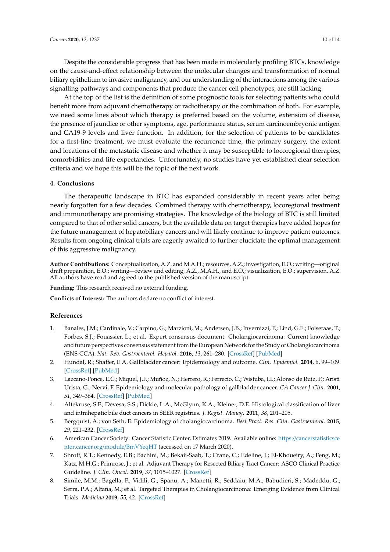Despite the considerable progress that has been made in molecularly profiling BTCs, knowledge on the cause-and-effect relationship between the molecular changes and transformation of normal biliary epithelium to invasive malignancy, and our understanding of the interactions among the various signalling pathways and components that produce the cancer cell phenotypes, are still lacking.

At the top of the list is the definition of some prognostic tools for selecting patients who could benefit more from adjuvant chemotherapy or radiotherapy or the combination of both. For example, we need some lines about which therapy is preferred based on the volume, extension of disease, the presence of jaundice or other symptoms, age, performance status, serum carcinoembryonic antigen and CA19-9 levels and liver function. In addition, for the selection of patients to be candidates for a first-line treatment, we must evaluate the recurrence time, the primary surgery, the extent and locations of the metastatic disease and whether it may be susceptible to locoregional therapies, comorbidities and life expectancies. Unfortunately, no studies have yet established clear selection criteria and we hope this will be the topic of the next work.

### **4. Conclusions**

The therapeutic landscape in BTC has expanded considerably in recent years after being nearly forgotten for a few decades. Combined therapy with chemotherapy, locoregional treatment and immunotherapy are promising strategies. The knowledge of the biology of BTC is still limited compared to that of other solid cancers, but the available data on target therapies have added hopes for the future management of hepatobiliary cancers and will likely continue to improve patient outcomes. Results from ongoing clinical trials are eagerly awaited to further elucidate the optimal management of this aggressive malignancy.

**Author Contributions:** Conceptualization, A.Z. and M.A.H.; resources, A.Z.; investigation, E.O.; writing—original draft preparation, E.O.; writing—review and editing, A.Z., M.A.H., and E.O.; visualization, E.O.; supervision, A.Z. All authors have read and agreed to the published version of the manuscript.

**Funding:** This research received no external funding.

**Conflicts of Interest:** The authors declare no conflict of interest.

# **References**

- <span id="page-9-0"></span>1. Banales, J.M.; Cardinale, V.; Carpino, G.; Marzioni, M.; Andersen, J.B.; Invernizzi, P.; Lind, G.E.; Folseraas, T.; Forbes, S.J.; Fouassier, L.; et al. Expert consensus document: Cholangiocarcinoma: Current knowledge and future perspectives consensus statement from the European Network for the Study of Cholangiocarcinoma (ENS-CCA). *Nat. Rev. Gastroenterol. Hepatol.* **2016**, *13*, 261–280. [\[CrossRef\]](http://dx.doi.org/10.1038/nrgastro.2016.51) [\[PubMed\]](http://www.ncbi.nlm.nih.gov/pubmed/27095655)
- <span id="page-9-1"></span>2. Hundal, R.; Shaffer, E.A. Gallbladder cancer: Epidemiology and outcome. *Clin. Epidemiol.* **2014**, *6*, 99–109. [\[CrossRef\]](http://dx.doi.org/10.2147/CLEP.S37357) [\[PubMed\]](http://www.ncbi.nlm.nih.gov/pubmed/24634588)
- <span id="page-9-2"></span>3. Lazcano-Ponce, E.C.; Miquel, J.F.; Muñoz, N.; Herrero, R.; Ferrecio, C.; Wistuba, I.I.; Alonso de Ruiz, P.; Aristi Urista, G.; Nervi, F. Epidemiology and molecular pathology of gallbladder cancer. *CA Cancer J. Clin.* **2001**, *51*, 349–364. [\[CrossRef\]](http://dx.doi.org/10.3322/canjclin.51.6.349) [\[PubMed\]](http://www.ncbi.nlm.nih.gov/pubmed/11760569)
- <span id="page-9-3"></span>4. Altekruse, S.F.; Devesa, S.S.; Dickie, L.A.; McGlynn, K.A.; Kleiner, D.E. Histological classification of liver and intrahepatic bile duct cancers in SEER registries. *J. Regist. Manag.* **2011**, *38*, 201–205.
- <span id="page-9-4"></span>5. Bergquist, A.; von Seth, E. Epidemiology of cholangiocarcinoma. *Best Pract. Res. Clin. Gastroenterol.* **2015**, *29*, 221–232. [\[CrossRef\]](http://dx.doi.org/10.1016/j.bpg.2015.02.003)
- <span id="page-9-5"></span>6. American Cancer Society: Cancer Statistic Center, Estimates 2019. Available online: https://[cancerstatisticsce](https://cancerstatisticscenter.cancer.org/module/BmVYeqHT) [nter.cancer.org](https://cancerstatisticscenter.cancer.org/module/BmVYeqHT)/module/BmVYeqHT (accessed on 17 March 2020).
- <span id="page-9-6"></span>7. Shroff, R.T.; Kennedy, E.B.; Bachini, M.; Bekaii-Saab, T.; Crane, C.; Edeline, J.; El-Khoueiry, A.; Feng, M.; Katz, M.H.G.; Primrose, J.; et al. Adjuvant Therapy for Resected Biliary Tract Cancer: ASCO Clinical Practice Guideline. *J. Clin. Oncol.* **2019**, *37*, 1015–1027. [\[CrossRef\]](http://dx.doi.org/10.1200/JCO.18.02178)
- <span id="page-9-7"></span>8. Simile, M.M.; Bagella, P.; Vidili, G.; Spanu, A.; Manetti, R.; Seddaiu, M.A.; Babudieri, S.; Madeddu, G.; Serra, P.A.; Altana, M.; et al. Targeted Therapies in Cholangiocarcinoma: Emerging Evidence from Clinical Trials. *Medicina* **2019**, *55*, 42. [\[CrossRef\]](http://dx.doi.org/10.3390/medicina55020042)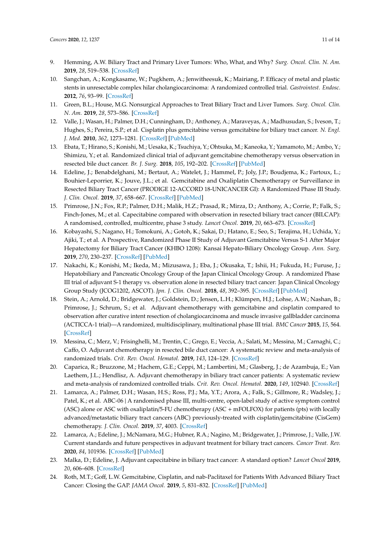- <span id="page-10-0"></span>9. Hemming, A.W. Biliary Tract and Primary Liver Tumors: Who, What, and Why? *Surg. Oncol. Clin. N. Am.* **2019**, *28*, 519–538. [\[CrossRef\]](http://dx.doi.org/10.1016/j.soc.2019.06.012)
- <span id="page-10-1"></span>10. Sangchan, A.; Kongkasame, W.; Pugkhem, A.; Jenwitheesuk, K.; Mairiang, P. Efficacy of metal and plastic stents in unresectable complex hilar cholangiocarcinoma: A randomized controlled trial. *Gastrointest. Endosc.* **2012**, *76*, 93–99. [\[CrossRef\]](http://dx.doi.org/10.1016/j.gie.2012.02.048)
- <span id="page-10-2"></span>11. Green, B.L.; House, M.G. Nonsurgical Approaches to Treat Biliary Tract and Liver Tumors. *Surg. Oncol. Clin. N. Am.* **2019**, *28*, 573–586. [\[CrossRef\]](http://dx.doi.org/10.1016/j.soc.2019.06.013)
- <span id="page-10-3"></span>12. Valle, J.; Wasan, H.; Palmer, D.H.; Cunningham, D.; Anthoney, A.; Maraveyas, A.; Madhusudan, S.; Iveson, T.; Hughes, S.; Pereira, S.P.; et al. Cisplatin plus gemcitabine versus gemcitabine for biliary tract cancer. *N. Engl. J. Med.* **2010**, *362*, 1273–1281. [\[CrossRef\]](http://dx.doi.org/10.1056/NEJMoa0908721) [\[PubMed\]](http://www.ncbi.nlm.nih.gov/pubmed/20375404)
- <span id="page-10-4"></span>13. Ebata, T.; Hirano, S.; Konishi, M.; Uesaka, K.; Tsuchiya, Y.; Ohtsuka, M.; Kaneoka, Y.; Yamamoto, M.; Ambo, Y.; Shimizu, Y.; et al. Randomized clinical trial of adjuvant gemcitabine chemotherapy versus observation in resected bile duct cancer. *Br. J. Surg.* **2018**, *105*, 192–202. [\[CrossRef\]](http://dx.doi.org/10.1002/bjs.10776) [\[PubMed\]](http://www.ncbi.nlm.nih.gov/pubmed/29405274)
- <span id="page-10-6"></span>14. Edeline, J.; Benabdelghani, M.; Bertaut, A.; Watelet, J.; Hammel, P.; Joly, J.P.; Boudjema, K.; Fartoux, L.; Bouhier-Leporrier, K.; Jouve, J.L.; et al. Gemcitabine and Oxaliplatin Chemotherapy or Surveillance in Resected Biliary Tract Cancer (PRODIGE 12-ACCORD 18-UNICANCER GI): A Randomized Phase III Study. *J. Clin. Oncol.* **2019**, *37*, 658–667. [\[CrossRef\]](http://dx.doi.org/10.1200/JCO.18.00050) [\[PubMed\]](http://www.ncbi.nlm.nih.gov/pubmed/30707660)
- <span id="page-10-5"></span>15. Primrose, J.N.; Fox, R.P.; Palmer, D.H.; Malik, H.Z.; Prasad, R.; Mirza, D.; Anthony, A.; Corrie, P.; Falk, S.; Finch-Jones, M.; et al. Capecitabine compared with observation in resected biliary tract cancer (BILCAP): A randomised, controlled, multicentre, phase 3 study. *Lancet Oncol.* **2019**, *20*, 663–673. [\[CrossRef\]](http://dx.doi.org/10.1016/S1470-2045(18)30915-X)
- <span id="page-10-7"></span>16. Kobayashi, S.; Nagano, H.; Tomokuni, A.; Gotoh, K.; Sakai, D.; Hatano, E.; Seo, S.; Terajima, H.; Uchida, Y.; Ajiki, T.; et al. A Prospective, Randomized Phase II Study of Adjuvant Gemcitabine Versus S-1 After Major Hepatectomy for Biliary Tract Cancer (KHBO 1208): Kansai Hepato-Biliary Oncology Group. *Ann. Surg.* **2019**, *270*, 230–237. [\[CrossRef\]](http://dx.doi.org/10.1097/SLA.0000000000002865) [\[PubMed\]](http://www.ncbi.nlm.nih.gov/pubmed/30339627)
- <span id="page-10-8"></span>17. Nakachi, K.; Konishi, M.; Ikeda, M.; Mizusawa, J.; Eba, J.; Okusaka, T.; Ishii, H.; Fukuda, H.; Furuse, J.; Hepatobiliary and Pancreatic Oncology Group of the Japan Clinical Oncology Group. A randomized Phase III trial of adjuvant S-1 therapy vs. observation alone in resected biliary tract cancer: Japan Clinical Oncology Group Study (JCOG1202, ASCOT). *Jpn. J. Clin. Oncol.* **2018**, *48*, 392–395. [\[CrossRef\]](http://dx.doi.org/10.1093/jjco/hyy004) [\[PubMed\]](http://www.ncbi.nlm.nih.gov/pubmed/29462482)
- <span id="page-10-9"></span>18. Stein, A.; Arnold, D.; Bridgewater, J.; Goldstein, D.; Jensen, L.H.; Klümpen, H.J.; Lohse, A.W.; Nashan, B.; Primrose, J.; Schrum, S.; et al. Adjuvant chemotherapy with gemcitabine and cisplatin compared to observation after curative intent resection of cholangiocarcinoma and muscle invasive gallbladder carcinoma (ACTICCA-1 trial)—A randomized, multidisciplinary, multinational phase III trial. *BMC Cancer* **2015**, *15*, 564. [\[CrossRef\]](http://dx.doi.org/10.1186/s12885-015-1498-0)
- <span id="page-10-10"></span>19. Messina, C.; Merz, V.; Frisinghelli, M.; Trentin, C.; Grego, E.; Veccia, A.; Salati, M.; Messina, M.; Carnaghi, C.; Caffo, O. Adjuvant chemotherapy in resected bile duct cancer: A systematic review and meta-analysis of randomized trials. *Crit. Rev. Oncol. Hematol.* **2019**, *143*, 124–129. [\[CrossRef\]](http://dx.doi.org/10.1016/j.critrevonc.2019.09.002)
- <span id="page-10-11"></span>20. Caparica, R.; Bruzzone, M.; Hachem, G.E.; Ceppi, M.; Lambertini, M.; Glasberg, J.; de Azambuja, E.; Van Laethem, J.L.; Hendlisz, A. Adjuvant chemotherapy in biliary tract cancer patients: A systematic review and meta-analysis of randomized controlled trials. *Crit. Rev. Oncol. Hematol.* **2020**, *149*, 102940. [\[CrossRef\]](http://dx.doi.org/10.1016/j.critrevonc.2020.102940)
- <span id="page-10-12"></span>21. Lamarca, A.; Palmer, D.H.; Wasan, H.S.; Ross, P.J.; Ma, Y.T.; Arora, A.; Falk, S.; Gillmore, R.; Wadsley, J.; Patel, K.; et al. ABC-06 | A randomised phase III, multi-centre, open-label study of active symptom control (ASC) alone or ASC with oxaliplatin/5-FU chemotherapy (ASC + mFOLFOX) for patients (pts) with locally advanced/metastatic biliary tract cancers (ABC) previously-treated with cisplatin/gemcitabine (CisGem) chemotherapy. *J. Clin. Oncol.* **2019**, *37*, 4003. [\[CrossRef\]](http://dx.doi.org/10.1200/jco.2019.37.15_suppl.4003)
- <span id="page-10-13"></span>22. Lamarca, A.; Edeline, J.; McNamara, M.G.; Hubner, R.A.; Nagino, M.; Bridgewater, J.; Primrose, J.; Valle, J.W. Current standards and future perspectives in adjuvant treatment for biliary tract cancers. *Cancer Treat. Rev.* **2020**, *84*, 101936. [\[CrossRef\]](http://dx.doi.org/10.1016/j.ctrv.2019.101936) [\[PubMed\]](http://www.ncbi.nlm.nih.gov/pubmed/31986437)
- <span id="page-10-14"></span>23. Malka, D.; Edeline, J. Adjuvant capecitabine in biliary tract cancer: A standard option? *Lancet Oncol* **2019**, *20*, 606–608. [\[CrossRef\]](http://dx.doi.org/10.1016/S1470-2045(19)30022-1)
- <span id="page-10-15"></span>24. Roth, M.T.; Goff, L.W. Gemcitabine, Cisplatin, and nab-Paclitaxel for Patients With Advanced Biliary Tract Cancer: Closing the GAP. *JAMA Oncol.* **2019**, *5*, 831–832. [\[CrossRef\]](http://dx.doi.org/10.1001/jamaoncol.2019.0269) [\[PubMed\]](http://www.ncbi.nlm.nih.gov/pubmed/30998823)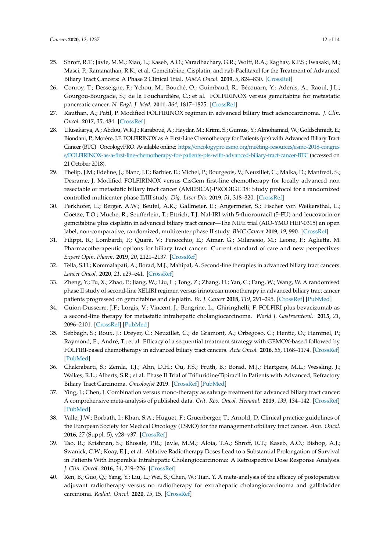- <span id="page-11-0"></span>25. Shroff, R.T.; Javle, M.M.; Xiao, L.; Kaseb, A.O.; Varadhachary, G.R.; Wolff, R.A.; Raghav, K.P.S.; Iwasaki, M.; Masci, P.; Ramanathan, R.K.; et al. Gemcitabine, Cisplatin, and nab-Paclitaxel for the Treatment of Advanced Biliary Tract Cancers: A Phase 2 Clinical Trial. *JAMA Oncol.* **2019**, *5*, 824–830. [\[CrossRef\]](http://dx.doi.org/10.1001/jamaoncol.2019.0270)
- <span id="page-11-1"></span>26. Conroy, T.; Desseigne, F.; Ychou, M.; Bouché, O.; Guimbaud, R.; Bécouarn, Y.; Adenis, A.; Raoul, J.L.; Gourgou-Bourgade, S.; de la Fouchardière, C.; et al. FOLFIRINOX versus gemcitabine for metastatic pancreatic cancer. *N. Engl. J. Med.* **2011**, *364*, 1817–1825. [\[CrossRef\]](http://dx.doi.org/10.1056/NEJMoa1011923)
- <span id="page-11-2"></span>27. Rauthan, A.; Patil, P. Modified FOLFIRINOX regimen in advanced biliary tract adenocarcinoma. *J. Clin. Oncol.* **2017**, *35*, 484. [\[CrossRef\]](http://dx.doi.org/10.1200/JCO.2017.35.4_suppl.484)
- <span id="page-11-3"></span>28. Ulusakarya, A.; Abdou, W.K.J.; Karaboué, A.; Haydar, M.; Krimi, S.; Gumus, Y.; Almohamad, W.; Goldschmidt, E.; Biondani, P.; Morère, J.F. FOLFIRINOX as A First-Line Chemotherapy for Patients (pts) with Advanced Biliary Tract Cancer (BTC) | OncologyPRO. Available online: https://[oncologypro.esmo.org](https://oncologypro.esmo.org/meeting-resources/esmo-2018-congress/FOLFIRINOX-as-a-first-line-chemotherapy-for-patients-pts-with-advanced-biliary-tract-cancer-BTC)/meeting-resources/esmo-2018-congres s/[FOLFIRINOX-as-a-first-line-chemotherapy-for-patients-pts-with-advanced-biliary-tract-cancer-BTC](https://oncologypro.esmo.org/meeting-resources/esmo-2018-congress/FOLFIRINOX-as-a-first-line-chemotherapy-for-patients-pts-with-advanced-biliary-tract-cancer-BTC) (accessed on 21 October 2018).
- <span id="page-11-4"></span>29. Phelip, J.M.; Edeline, J.; Blanc, J.F.; Barbier, E.; Michel, P.; Bourgeois, V.; Neuzillet, C.; Malka, D.; Manfredi, S.; Desrame, J. Modified FOLFIRINOX versus CisGem first-line chemotherapy for locally advanced non resectable or metastatic biliary tract cancer (AMEBICA)-PRODIGE 38: Study protocol for a randomized controlled multicenter phase II/III study. *Dig. Liver Dis.* **2019**, *51*, 318–320. [\[CrossRef\]](http://dx.doi.org/10.1016/j.dld.2018.11.018)
- <span id="page-11-5"></span>30. Perkhofer, L.; Berger, A.W.; Beutel, A.K.; Gallmeier, E.; Angermeier, S.; Fischer von Weikersthal, L.; Goetze, T.O.; Muche, R.; Seufferlein, T.; Ettrich, T.J. Nal-IRI with 5-fluorouracil (5-FU) and leucovorin or gemcitabine plus cisplatin in advanced biliary tract cancer—The NIFE trial (AIO-YMO HEP-0315) an open label, non-comparative, randomized, multicenter phase II study. *BMC Cancer* **2019**, *19*, 990. [\[CrossRef\]](http://dx.doi.org/10.1186/s12885-019-6142-y)
- <span id="page-11-6"></span>31. Filippi, R.; Lombardi, P.; Quarà, V.; Fenocchio, E.; Aimar, G.; Milanesio, M.; Leone, F.; Aglietta, M. Pharmacotherapeutic options for biliary tract cancer: Current standard of care and new perspectives. *Expert Opin. Pharm.* **2019**, *20*, 2121–2137. [\[CrossRef\]](http://dx.doi.org/10.1080/14656566.2019.1667335)
- <span id="page-11-7"></span>32. Tella, S.H.; Kommalapati, A.; Borad, M.J.; Mahipal, A. Second-line therapies in advanced biliary tract cancers. *Lancet Oncol.* **2020**, *21*, e29–e41. [\[CrossRef\]](http://dx.doi.org/10.1016/S1470-2045(19)30733-8)
- <span id="page-11-8"></span>33. Zheng, Y.; Tu, X.; Zhao, P.; Jiang, W.; Liu, L.; Tong, Z.; Zhang, H.; Yan, C.; Fang, W.; Wang, W. A randomised phase II study of second-line XELIRI regimen versus irinotecan monotherapy in advanced biliary tract cancer patients progressed on gemcitabine and cisplatin. *Br. J. Cancer* **2018**, *119*, 291–295. [\[CrossRef\]](http://dx.doi.org/10.1038/s41416-018-0138-2) [\[PubMed\]](http://www.ncbi.nlm.nih.gov/pubmed/29955136)
- <span id="page-11-9"></span>34. Guion-Dusserre, J.F.; Lorgis, V.; Vincent, J.; Bengrine, L.; Ghiringhelli, F. FOLFIRI plus bevacizumab as a second-line therapy for metastatic intrahepatic cholangiocarcinoma. *World J. Gastroenterol.* **2015**, *21*, 2096–2101. [\[CrossRef\]](http://dx.doi.org/10.3748/wjg.v21.i7.2096) [\[PubMed\]](http://www.ncbi.nlm.nih.gov/pubmed/25717243)
- <span id="page-11-10"></span>35. Sebbagh, S.; Roux, J.; Dreyer, C.; Neuzillet, C.; de Gramont, A.; Orbegoso, C.; Hentic, O.; Hammel, P.; Raymond, E.; André, T.; et al. Efficacy of a sequential treatment strategy with GEMOX-based followed by FOLFIRI-based chemotherapy in advanced biliary tract cancers. *Acta Oncol.* **2016**, *55*, 1168–1174. [\[CrossRef\]](http://dx.doi.org/10.1080/0284186X.2016.1191670) [\[PubMed\]](http://www.ncbi.nlm.nih.gov/pubmed/27333436)
- <span id="page-11-11"></span>36. Chakrabarti, S.; Zemla, T.J.; Ahn, D.H.; Ou, F.S.; Fruth, B.; Borad, M.J.; Hartgers, M.L.; Wessling, J.; Walkes, R.L.; Alberts, S.R.; et al. Phase II Trial of Trifluridine/Tipiracil in Patients with Advanced, Refractory Biliary Tract Carcinoma. *Oncologist* **2019**. [\[CrossRef\]](http://dx.doi.org/10.1634/theoncologist.2019-0874) [\[PubMed\]](http://www.ncbi.nlm.nih.gov/pubmed/31826977)
- <span id="page-11-12"></span>37. Ying, J.; Chen, J. Combination versus mono-therapy as salvage treatment for advanced biliary tract cancer: A comprehensive meta-analysis of published data. *Crit. Rev. Oncol. Hematol.* **2019**, *139*, 134–142. [\[CrossRef\]](http://dx.doi.org/10.1016/j.critrevonc.2019.01.001) [\[PubMed\]](http://www.ncbi.nlm.nih.gov/pubmed/30979533)
- <span id="page-11-13"></span>38. Valle, J.W.; Borbath, I.; Khan, S.A.; Huguet, F.; Gruenberger, T.; Arnold, D. Clinical practice guidelines of the European Society for Medical Oncology (ESMO) for the management ofbiliary tract cancer. *Ann. Oncol.* **2016**, *27* (Suppl. 5), v28–v37. [\[CrossRef\]](http://dx.doi.org/10.1093/annonc/mdw324)
- <span id="page-11-14"></span>39. Tao, R.; Krishnan, S.; Bhosale, P.R.; Javle, M.M.; Aloia, T.A.; Shroff, R.T.; Kaseb, A.O.; Bishop, A.J.; Swanick, C.W.; Koay, E.J.; et al. Ablative Radiotherapy Doses Lead to a Substantial Prolongation of Survival in Patients With Inoperable Intrahepatic Cholangiocarcinoma: A Retrospective Dose Response Analysis. *J. Clin. Oncol.* **2016**, *34*, 219–226. [\[CrossRef\]](http://dx.doi.org/10.1200/JCO.2015.61.3778)
- <span id="page-11-15"></span>40. Ren, B.; Guo, Q.; Yang, Y.; Liu, L.; Wei, S.; Chen, W.; Tian, Y. A meta-analysis of the efficacy of postoperative adjuvant radiotherapy versus no radiotherapy for extrahepatic cholangiocarcinoma and gallbladder carcinoma. *Radiat. Oncol.* **2020**, *15*, 15. [\[CrossRef\]](http://dx.doi.org/10.1186/s13014-020-1459-x)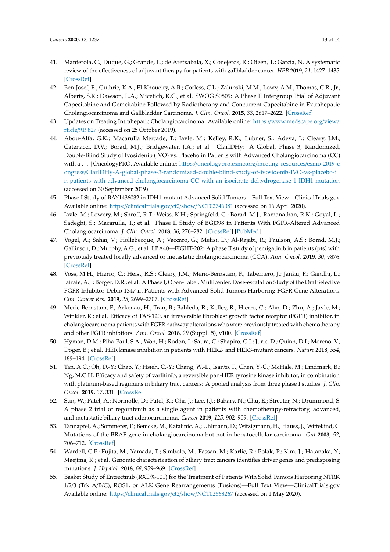- <span id="page-12-0"></span>41. Manterola, C.; Duque, G.; Grande, L.; de Aretxabala, X.; Conejeros, R.; Otzen, T.; García, N. A systematic review of the effectiveness of adjuvant therapy for patients with gallbladder cancer. *HPB* **2019**, *21*, 1427–1435. [\[CrossRef\]](http://dx.doi.org/10.1016/j.hpb.2019.02.019)
- <span id="page-12-1"></span>42. Ben-Josef, E.; Guthrie, K.A.; El-Khoueiry, A.B.; Corless, C.L.; Zalupski, M.M.; Lowy, A.M.; Thomas, C.R., Jr.; Alberts, S.R.; Dawson, L.A.; Micetich, K.C.; et al. SWOG S0809: A Phase II Intergroup Trial of Adjuvant Capecitabine and Gemcitabine Followed by Radiotherapy and Concurrent Capecitabine in Extrahepatic Cholangiocarcinoma and Gallbladder Carcinoma. *J. Clin. Oncol.* **2015**, *33*, 2617–2622. [\[CrossRef\]](http://dx.doi.org/10.1200/JCO.2014.60.2219)
- <span id="page-12-2"></span>43. Updates on Treating Intrahepatic Cholangiocarcinoma. Available online: https://[www.medscape.org](https://www.medscape.org/viewarticle/919827)/viewa rticle/[919827](https://www.medscape.org/viewarticle/919827) (accessed on 25 October 2019).
- <span id="page-12-3"></span>44. Abou-Alfa, G.K.; Macarulla Mercade, T.; Javle, M.; Kelley, R.K.; Lubner, S.; Adeva, J.; Cleary, J.M.; Catenacci, D.V.; Borad, M.J.; Bridgewater, J.A.; et al. ClarIDHy: A Global, Phase 3, Randomized, Double-Blind Study of Ivosidenib (IVO) vs. Placebo in Patients with Advanced Cholangiocarcinoma (CC) with a . . . | OncologyPRO. Available online: https://[oncologypro.esmo.org](https://oncologypro.esmo.org/meeting-resources/esmo-2019-congress/ClarIDHy-A-global-phase-3-randomized-double-blind-study-of-ivosidenib-IVO-vs-placebo-in-patients-with-advanced-cholangiocarcinoma-CC-with-an-isocitrate-dehydrogenase-1-IDH1-mutation)/meeting-resources/esmo-2019-c ongress/[ClarIDHy-A-global-phase-3-randomized-double-blind-study-of-ivosidenib-IVO-vs-placebo-i](https://oncologypro.esmo.org/meeting-resources/esmo-2019-congress/ClarIDHy-A-global-phase-3-randomized-double-blind-study-of-ivosidenib-IVO-vs-placebo-in-patients-with-advanced-cholangiocarcinoma-CC-with-an-isocitrate-dehydrogenase-1-IDH1-mutation) [n-patients-with-advanced-cholangiocarcinoma-CC-with-an-isocitrate-dehydrogenase-1-IDH1-mutation](https://oncologypro.esmo.org/meeting-resources/esmo-2019-congress/ClarIDHy-A-global-phase-3-randomized-double-blind-study-of-ivosidenib-IVO-vs-placebo-in-patients-with-advanced-cholangiocarcinoma-CC-with-an-isocitrate-dehydrogenase-1-IDH1-mutation) (accessed on 30 September 2019).
- <span id="page-12-4"></span>45. Phase I Study of BAY1436032 in IDH1-mutant Advanced Solid Tumors—Full Text View—ClinicalTrials.gov. Available online: https://[clinicaltrials.gov](https://clinicaltrials.gov/ct2/show/NCT02746081)/ct2/show/NCT02746081 (accessed on 16 April 2020).
- <span id="page-12-5"></span>46. Javle, M.; Lowery, M.; Shroff, R.T.; Weiss, K.H.; Springfeld, C.; Borad, M.J.; Ramanathan, R.K.; Goyal, L.; Sadeghi, S.; Macarulla, T.; et al. Phase II Study of BGJ398 in Patients With FGFR-Altered Advanced Cholangiocarcinoma. *J. Clin. Oncol.* **2018**, *36*, 276–282. [\[CrossRef\]](http://dx.doi.org/10.1200/JCO.2017.75.5009) [\[PubMed\]](http://www.ncbi.nlm.nih.gov/pubmed/29182496)
- <span id="page-12-6"></span>47. Vogel, A.; Sahai, V.; Hollebecque, A.; Vaccaro, G.; Melisi, D.; Al-Rajabi, R.; Paulson, A.S.; Borad, M.J.; Gallinson, D.; Murphy, A.G.; et al. LBA40—FIGHT-202: A phase II study of pemigatinib in patients (pts) with previously treated locally advanced or metastatic cholangiocarcinoma (CCA). *Ann. Oncol.* **2019**, *30*, v876. [\[CrossRef\]](http://dx.doi.org/10.1093/annonc/mdz394.031)
- <span id="page-12-7"></span>48. Voss, M.H.; Hierro, C.; Heist, R.S.; Cleary, J.M.; Meric-Bernstam, F.; Tabernero, J.; Janku, F.; Gandhi, L.; Iafrate, A.J.; Borger, D.R.; et al. A Phase I, Open-Label, Multicenter, Dose-escalation Study of the Oral Selective FGFR Inhibitor Debio 1347 in Patients with Advanced Solid Tumors Harboring FGFR Gene Alterations. *Clin. Cancer Res.* **2019**, *25*, 2699–2707. [\[CrossRef\]](http://dx.doi.org/10.1158/1078-0432.CCR-18-1959)
- <span id="page-12-8"></span>49. Meric-Bernstam, F.; Arkenau, H.; Tran, B.; Bahleda, R.; Kelley, R.; Hierro, C.; Ahn, D.; Zhu, A.; Javle, M.; Winkler, R.; et al. Efficacy of TAS-120, an irreversible fibroblast growth factor receptor (FGFR) inhibitor, in cholangiocarcinoma patients with FGFR pathway alterations who were previously treated with chemotherapy and other FGFR inhibitors. *Ann. Oncol.* **2018**, *29* (Suppl. 5), v100. [\[CrossRef\]](http://dx.doi.org/10.1093/annonc/mdy149)
- <span id="page-12-9"></span>50. Hyman, D.M.; Piha-Paul, S.A.; Won, H.; Rodon, J.; Saura, C.; Shapiro, G.I.; Juric, D.; Quinn, D.I.; Moreno, V.; Doger, B.; et al. HER kinase inhibition in patients with HER2- and HER3-mutant cancers. *Nature* **2018**, *554*, 189–194. [\[CrossRef\]](http://dx.doi.org/10.1038/nature25475)
- <span id="page-12-10"></span>51. Tan, A.C.; Oh, D.-Y.; Chao, Y.; Hsieh, C.-Y.; Chang, W.-L.; Isanto, F.; Chen, Y.-C.; McHale, M.; Lindmark, B.; Ng, M.C.H. Efficacy and safety of varlitinib, a reversible pan-HER tyrosine kinase inhibitor, in combination with platinum-based regimens in biliary tract cancers: A pooled analysis from three phase I studies. *J. Clin. Oncol.* **2019**, *37*, 331. [\[CrossRef\]](http://dx.doi.org/10.1200/JCO.2019.37.4_suppl.331)
- <span id="page-12-11"></span>52. Sun, W.; Patel, A.; Normolle, D.; Patel, K.; Ohr, J.; Lee, J.J.; Bahary, N.; Chu, E.; Streeter, N.; Drummond, S. A phase 2 trial of regorafenib as a single agent in patients with chemotherapy-refractory, advanced, and metastatic biliary tract adenocarcinoma. *Cancer* **2019**, *125*, 902–909. [\[CrossRef\]](http://dx.doi.org/10.1002/cncr.31872)
- <span id="page-12-12"></span>53. Tannapfel, A.; Sommerer, F.; Benicke, M.; Katalinic, A.; Uhlmann, D.; Witzigmann, H.; Hauss, J.; Wittekind, C. Mutations of the BRAF gene in cholangiocarcinoma but not in hepatocellular carcinoma. *Gut* **2003**, *52*, 706–712. [\[CrossRef\]](http://dx.doi.org/10.1136/gut.52.5.706)
- <span id="page-12-13"></span>54. Wardell, C.P.; Fujita, M.; Yamada, T.; Simbolo, M.; Fassan, M.; Karlic, R.; Polak, P.; Kim, J.; Hatanaka, Y.; Maejima, K.; et al. Genomic characterization of biliary tract cancers identifies driver genes and predisposing mutations. *J. Hepatol.* **2018**, *68*, 959–969. [\[CrossRef\]](http://dx.doi.org/10.1016/j.jhep.2018.01.009)
- <span id="page-12-14"></span>55. Basket Study of Entrectinib (RXDX-101) for the Treatment of Patients With Solid Tumors Harboring NTRK 1/2/3 (Trk A/B/C), ROS1, or ALK Gene Rearrangements (Fusions)—Full Text View—ClinicalTrials.gov. Available online: https://[clinicaltrials.gov](https://clinicaltrials.gov/ct2/show/NCT02568267)/ct2/show/NCT02568267 (accessed on 1 May 2020).